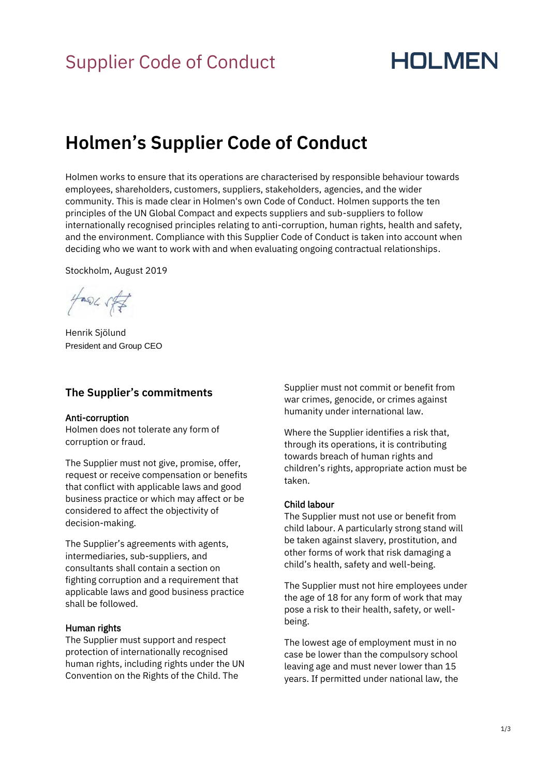# Supplier Code of Conduct

# **HOLMEN**

# **Holmen's Supplier Code of Conduct**

Holmen works to ensure that its operations are characterised by responsible behaviour towards employees, shareholders, customers, suppliers, stakeholders, agencies, and the wider community. This is made clear in Holmen's own Code of Conduct. Holmen supports the ten principles of the UN Global Compact and expects suppliers and sub-suppliers to follow internationally recognised principles relating to anti-corruption, human rights, health and safety, and the environment. Compliance with this Supplier Code of Conduct is taken into account when deciding who we want to work with and when evaluating ongoing contractual relationships.

Stockholm, August 2019

 $\frac{1}{2}$  and  $\frac{1}{2}$ 

Henrik Sjölund President and Group CEO

### **The Supplier's commitments**

#### Anti-corruption

Holmen does not tolerate any form of corruption or fraud.

The Supplier must not give, promise, offer, request or receive compensation or benefits that conflict with applicable laws and good business practice or which may affect or be considered to affect the objectivity of decision-making.

The Supplier's agreements with agents, intermediaries, sub-suppliers, and consultants shall contain a section on fighting corruption and a requirement that applicable laws and good business practice shall be followed.

#### Human rights

The Supplier must support and respect protection of internationally recognised human rights, including rights under the UN Convention on the Rights of the Child. The

Supplier must not commit or benefit from war crimes, genocide, or crimes against humanity under international law.

Where the Supplier identifies a risk that, through its operations, it is contributing towards breach of human rights and children's rights, appropriate action must be taken.

#### Child labour

The Supplier must not use or benefit from child labour. A particularly strong stand will be taken against slavery, prostitution, and other forms of work that risk damaging a child's health, safety and well-being.

The Supplier must not hire employees under the age of 18 for any form of work that may pose a risk to their health, safety, or wellbeing.

The lowest age of employment must in no case be lower than the compulsory school leaving age and must never lower than 15 years. If permitted under national law, the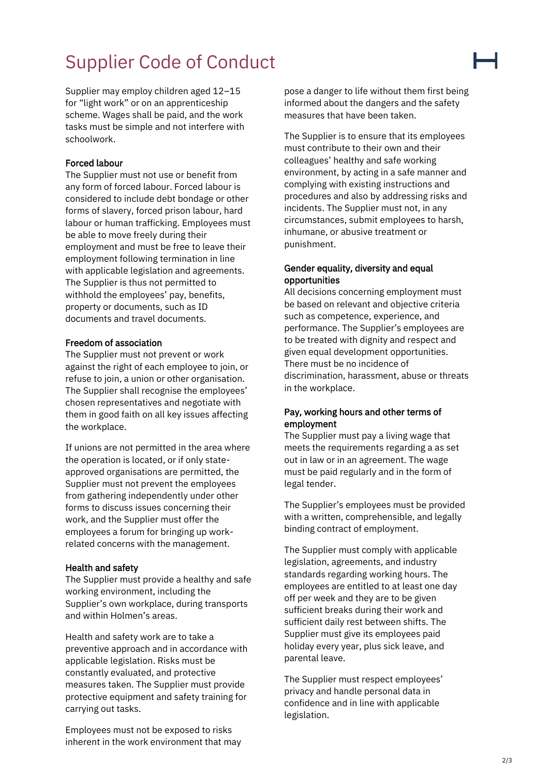# Supplier Code of Conduct

Supplier may employ children aged 12–15 for "light work" or on an apprenticeship scheme. Wages shall be paid, and the work tasks must be simple and not interfere with schoolwork.

#### Forced labour

The Supplier must not use or benefit from any form of forced labour. Forced labour is considered to include debt bondage or other forms of slavery, forced prison labour, hard labour or human trafficking. Employees must be able to move freely during their employment and must be free to leave their employment following termination in line with applicable legislation and agreements. The Supplier is thus not permitted to withhold the employees' pay, benefits, property or documents, such as ID documents and travel documents.

#### Freedom of association

The Supplier must not prevent or work against the right of each employee to join, or refuse to join, a union or other organisation. The Supplier shall recognise the employees' chosen representatives and negotiate with them in good faith on all key issues affecting the workplace.

If unions are not permitted in the area where the operation is located, or if only stateapproved organisations are permitted, the Supplier must not prevent the employees from gathering independently under other forms to discuss issues concerning their work, and the Supplier must offer the employees a forum for bringing up workrelated concerns with the management.

#### Health and safety

The Supplier must provide a healthy and safe working environment, including the Supplier's own workplace, during transports and within Holmen's areas.

Health and safety work are to take a preventive approach and in accordance with applicable legislation. Risks must be constantly evaluated, and protective measures taken. The Supplier must provide protective equipment and safety training for carrying out tasks.

Employees must not be exposed to risks inherent in the work environment that may pose a danger to life without them first being informed about the dangers and the safety measures that have been taken.

The Supplier is to ensure that its employees must contribute to their own and their colleagues' healthy and safe working environment, by acting in a safe manner and complying with existing instructions and procedures and also by addressing risks and incidents. The Supplier must not, in any circumstances, submit employees to harsh, inhumane, or abusive treatment or punishment.

### Gender equality, diversity and equal opportunities

All decisions concerning employment must be based on relevant and objective criteria such as competence, experience, and performance. The Supplier's employees are to be treated with dignity and respect and given equal development opportunities. There must be no incidence of discrimination, harassment, abuse or threats in the workplace.

### Pay, working hours and other terms of employment

The Supplier must pay a living wage that meets the requirements regarding a as set out in law or in an agreement. The wage must be paid regularly and in the form of legal tender.

The Supplier's employees must be provided with a written, comprehensible, and legally binding contract of employment.

The Supplier must comply with applicable legislation, agreements, and industry standards regarding working hours. The employees are entitled to at least one day off per week and they are to be given sufficient breaks during their work and sufficient daily rest between shifts. The Supplier must give its employees paid holiday every year, plus sick leave, and parental leave.

The Supplier must respect employees' privacy and handle personal data in confidence and in line with applicable legislation.